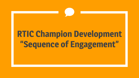# **RTIC Champion Development "Sequence of Engagement"**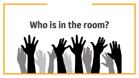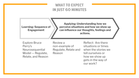## **WHAT TO EXPECT IN JUST 60 MINUTES**

**Learning: Sequence of Engagement**

**Applying: Understanding how we perceive situations and how we show up can influence our thoughts, feelings and actions.**

Explore Bruce Perry's Neurosequential Model — Regulate, Relate, and Reason Review a non-example of Regulate, Relate and Reason

Reflect: Are there situations or times when the stories we tell ourselves or how we show up gets in the way of our work?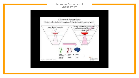#### **Learning: Sequence of Engagement**

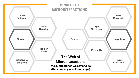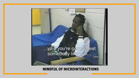

### **MINDFUL OF MICROINTERACTIONS**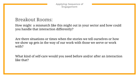**Applying: Sequence of Engagement**

# Breakout Rooms:

How might a mismatch like this might out in your sector and how could you handle that interaction differently?

Are there situations or times when the stories we tell ourselves or how we show up gets in the way of our work with those we serve or work with?

What kind of self-care would you need before and/or after an interaction like that?